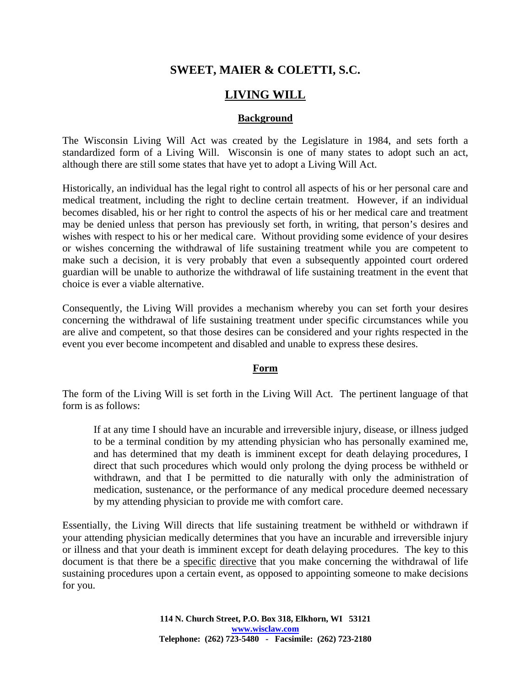# **SWEET, MAIER & COLETTI, S.C.**

# **LIVING WILL**

## **Background**

The Wisconsin Living Will Act was created by the Legislature in 1984, and sets forth a standardized form of a Living Will. Wisconsin is one of many states to adopt such an act, although there are still some states that have yet to adopt a Living Will Act.

Historically, an individual has the legal right to control all aspects of his or her personal care and medical treatment, including the right to decline certain treatment. However, if an individual becomes disabled, his or her right to control the aspects of his or her medical care and treatment may be denied unless that person has previously set forth, in writing, that person's desires and wishes with respect to his or her medical care. Without providing some evidence of your desires or wishes concerning the withdrawal of life sustaining treatment while you are competent to make such a decision, it is very probably that even a subsequently appointed court ordered guardian will be unable to authorize the withdrawal of life sustaining treatment in the event that choice is ever a viable alternative.

Consequently, the Living Will provides a mechanism whereby you can set forth your desires concerning the withdrawal of life sustaining treatment under specific circumstances while you are alive and competent, so that those desires can be considered and your rights respected in the event you ever become incompetent and disabled and unable to express these desires.

### **Form**

The form of the Living Will is set forth in the Living Will Act. The pertinent language of that form is as follows:

 If at any time I should have an incurable and irreversible injury, disease, or illness judged to be a terminal condition by my attending physician who has personally examined me, and has determined that my death is imminent except for death delaying procedures, I direct that such procedures which would only prolong the dying process be withheld or withdrawn, and that I be permitted to die naturally with only the administration of medication, sustenance, or the performance of any medical procedure deemed necessary by my attending physician to provide me with comfort care.

Essentially, the Living Will directs that life sustaining treatment be withheld or withdrawn if your attending physician medically determines that you have an incurable and irreversible injury or illness and that your death is imminent except for death delaying procedures. The key to this document is that there be a specific directive that you make concerning the withdrawal of life sustaining procedures upon a certain event, as opposed to appointing someone to make decisions for you.

> **114 N. Church Street, P.O. Box 318, Elkhorn, WI 53121 www.wisclaw.com Telephone: (262) 723-5480 - Facsimile: (262) 723-2180**